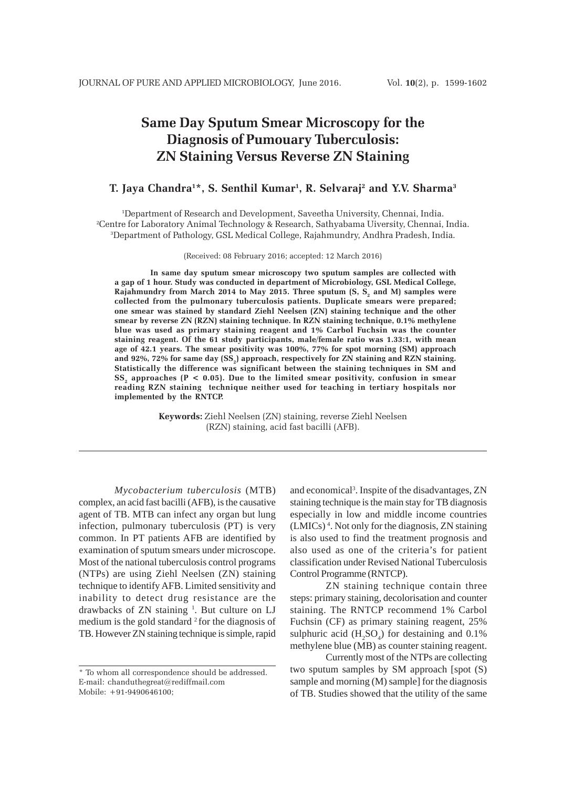# **Same Day Sputum Smear Microscopy for the Diagnosis of Pumouary Tuberculosis: ZN Staining Versus Reverse ZN Staining**

# **T. Jaya Chandra1 \*, S. Senthil Kumar1 , R. Selvaraj2 and Y.V. Sharma3**

1 Department of Research and Development, Saveetha University, Chennai, India. 2 Centre for Laboratory Animal Technology & Research, Sathyabama Uiversity, Chennai, India. 3 Department of Pathology, GSL Medical College, Rajahmundry, Andhra Pradesh, India.

(Received: 08 February 2016; accepted: 12 March 2016)

**In same day sputum smear microscopy two sputum samples are collected with a gap of 1 hour. Study was conducted in department of Microbiology, GSL Medical College,** Rajahmundry from March 2014 to May 2015. Three sputum (S, S<sub>2</sub> and M) samples were **collected from the pulmonary tuberculosis patients. Duplicate smears were prepared; one smear was stained by standard Ziehl Neelsen (ZN) staining technique and the other smear by reverse ZN (RZN) staining technique. In RZN staining technique, 0.1% methylene blue was used as primary staining reagent and 1% Carbol Fuchsin was the counter staining reagent. Of the 61 study participants, male/female ratio was 1.33:1, with mean age of 42.1 years. The smear positivity was 100%, 77% for spot morning (SM) approach** and 92%, 72% for same day (SS<sub>2</sub>) approach, respectively for ZN staining and RZN staining. **Statistically the difference was significant between the staining techniques in SM and SS**, approaches  $(P < 0.05)$ . Due to the limited smear positivity, confusion in smear **reading RZN staining technique neither used for teaching in tertiary hospitals nor implemented by the RNTCP.**

> **Keywords:** Ziehl Neelsen (ZN) staining, reverse Ziehl Neelsen (RZN) staining, acid fast bacilli (AFB).

*Mycobacterium tuberculosis* (MTB) complex, an acid fast bacilli (AFB), is the causative agent of TB. MTB can infect any organ but lung infection, pulmonary tuberculosis (PT) is very common. In PT patients AFB are identified by examination of sputum smears under microscope. Most of the national tuberculosis control programs (NTPs) are using Ziehl Neelsen (ZN) staining technique to identify AFB. Limited sensitivity and inability to detect drug resistance are the drawbacks of ZN staining <sup>1</sup>. But culture on LJ medium is the gold standard  $2$  for the diagnosis of TB. However ZN staining technique is simple, rapid

and economical<sup>3</sup>. Inspite of the disadvantages, ZN staining technique is the main stay for TB diagnosis especially in low and middle income countries (LMICs) 4 . Not only for the diagnosis, ZN staining is also used to find the treatment prognosis and also used as one of the criteria's for patient classification under Revised National Tuberculosis Control Programme (RNTCP).

ZN staining technique contain three steps: primary staining, decolorisation and counter staining. The RNTCP recommend 1% Carbol Fuchsin (CF) as primary staining reagent, 25% sulphuric acid  $(H_2SO_4)$  for destaining and 0.1% methylene blue (MB) as counter staining reagent.

Currently most of the NTPs are collecting two sputum samples by SM approach [spot (S) sample and morning (M) sample] for the diagnosis of TB. Studies showed that the utility of the same

<sup>\*</sup> To whom all correspondence should be addressed. E-mail: chanduthegreat@rediffmail.com Mobile: +91-9490646100;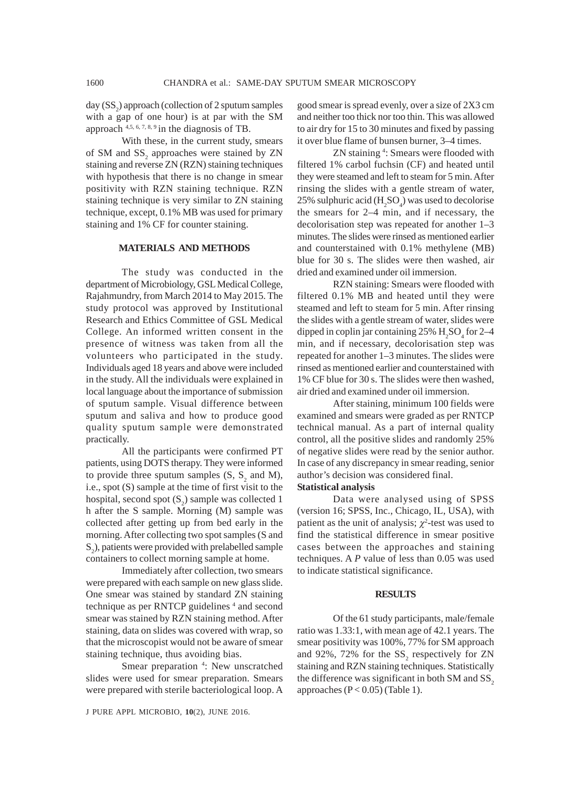day  $(SS<sub>2</sub>)$  approach (collection of 2 sputum samples with a gap of one hour) is at par with the SM approach  $4,5,6,7,8,9$  in the diagnosis of TB.

With these, in the current study, smears of SM and  $SS_2$  approaches were stained by ZN staining and reverse ZN (RZN) staining techniques with hypothesis that there is no change in smear positivity with RZN staining technique. RZN staining technique is very similar to ZN staining technique, except, 0.1% MB was used for primary staining and 1% CF for counter staining.

# **MATERIALS AND METHODS**

The study was conducted in the department of Microbiology, GSL Medical College, Rajahmundry, from March 2014 to May 2015. The study protocol was approved by Institutional Research and Ethics Committee of GSL Medical College. An informed written consent in the presence of witness was taken from all the volunteers who participated in the study. Individuals aged 18 years and above were included in the study. All the individuals were explained in local language about the importance of submission of sputum sample. Visual difference between sputum and saliva and how to produce good quality sputum sample were demonstrated practically.

All the participants were confirmed PT patients, using DOTS therapy. They were informed to provide three sputum samples  $(S, S_2 \text{ and } M)$ , i.e., spot (S) sample at the time of first visit to the hospital, second spot  $(S_2)$  sample was collected 1 h after the S sample. Morning (M) sample was collected after getting up from bed early in the morning. After collecting two spot samples (S and  $S_2$ ), patients were provided with prelabelled sample containers to collect morning sample at home.

Immediately after collection, two smears were prepared with each sample on new glass slide. One smear was stained by standard ZN staining technique as per RNTCP guidelines<sup>4</sup> and second smear was stained by RZN staining method. After staining, data on slides was covered with wrap, so that the microscopist would not be aware of smear staining technique, thus avoiding bias.

Smear preparation <sup>4</sup>: New unscratched slides were used for smear preparation. Smears were prepared with sterile bacteriological loop. A

J PURE APPL MICROBIO*,* **10**(2), JUNE 2016.

good smear is spread evenly, over a size of 2X3 cm and neither too thick nor too thin. This was allowed to air dry for 15 to 30 minutes and fixed by passing it over blue flame of bunsen burner, 3–4 times.

ZN staining <sup>4</sup>: Smears were flooded with filtered 1% carbol fuchsin (CF) and heated until they were steamed and left to steam for 5 min. After rinsing the slides with a gentle stream of water, 25% sulphuric acid  $(H_2SO_4)$  was used to decolorise the smears for 2–4 min, and if necessary, the decolorisation step was repeated for another 1–3 minutes. The slides were rinsed as mentioned earlier and counterstained with 0.1% methylene (MB) blue for 30 s. The slides were then washed, air dried and examined under oil immersion.

RZN staining: Smears were flooded with filtered 0.1% MB and heated until they were steamed and left to steam for 5 min. After rinsing the slides with a gentle stream of water, slides were dipped in coplin jar containing  $25\%$  H<sub>2</sub>SO<sub>4</sub> for 2–4 min, and if necessary, decolorisation step was repeated for another 1–3 minutes. The slides were rinsed as mentioned earlier and counterstained with 1% CF blue for 30 s. The slides were then washed, air dried and examined under oil immersion.

After staining, minimum 100 fields were examined and smears were graded as per RNTCP technical manual. As a part of internal quality control, all the positive slides and randomly 25% of negative slides were read by the senior author. In case of any discrepancy in smear reading, senior author's decision was considered final.

## **Statistical analysis**

Data were analysed using of SPSS (version 16; SPSS, Inc., Chicago, IL, USA), with patient as the unit of analysis;  $\chi^2$ -test was used to find the statistical difference in smear positive cases between the approaches and staining techniques. A *P* value of less than 0.05 was used to indicate statistical significance.

## **RESULTS**

Of the 61 study participants, male/female ratio was 1.33:1, with mean age of 42.1 years. The smear positivity was 100%, 77% for SM approach and 92%, 72% for the  $SS_2$  respectively for ZN staining and RZN staining techniques. Statistically the difference was significant in both SM and  $SS<sub>2</sub>$ approaches  $(P < 0.05)$  (Table 1).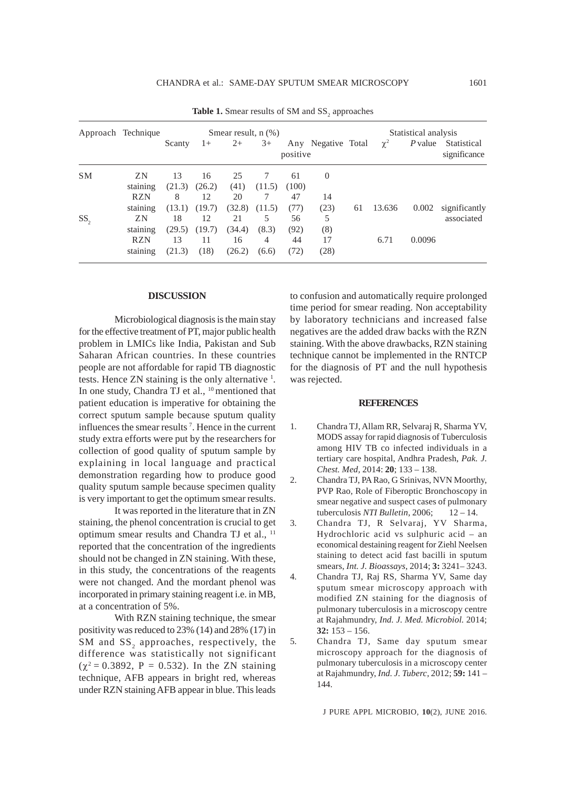|                 | Approach Technique | Smear result, $n$ $(\%)$ |        |        |        |          |                    | Statistical analysis |          |           |                             |
|-----------------|--------------------|--------------------------|--------|--------|--------|----------|--------------------|----------------------|----------|-----------|-----------------------------|
|                 |                    | Scanty                   | $1+$   | $2+$   | $3+$   | positive | Any Negative Total |                      | $\chi^2$ | $P$ value | Statistical<br>significance |
| <b>SM</b>       | ZN.                | 13                       | 16     | 25     |        | 61       | $\theta$           |                      |          |           |                             |
|                 | staining           | (21.3)                   | (26.2) | (41)   | (11.5) | (100)    |                    |                      |          |           |                             |
|                 | <b>RZN</b>         | 8                        | 12.    | 20     | 7      | 47       | 14                 |                      |          |           |                             |
|                 | staining           | (13.1)                   | (19.7) | (32.8) | (11.5) | (77)     | (23)               | 61                   | 13.636   | 0.002     | significantly               |
| SS <sub>2</sub> | ZN.                | 18                       | 12     | 21     | 5      | 56       | 5                  |                      |          |           | associated                  |
|                 | staining           | (29.5)                   | (19.7) | (34.4) | (8.3)  | (92)     | (8)                |                      |          |           |                             |
|                 | <b>RZN</b>         | 13                       | 11     | 16     | 4      | 44       | 17                 |                      | 6.71     | 0.0096    |                             |
|                 | staining           | (21.3)                   | (18)   | (26.2) | (6.6)  | (72)     | (28)               |                      |          |           |                             |

**Table 1.** Smear results of SM and  $SS_2$  approaches

## **DISCUSSION**

Microbiological diagnosis is the main stay for the effective treatment of PT, major public health problem in LMICs like India, Pakistan and Sub Saharan African countries. In these countries people are not affordable for rapid TB diagnostic tests. Hence ZN staining is the only alternative <sup>1</sup>. In one study, Chandra TJ et al., <sup>10</sup> mentioned that patient education is imperative for obtaining the correct sputum sample because sputum quality influences the smear results 7 . Hence in the current study extra efforts were put by the researchers for collection of good quality of sputum sample by explaining in local language and practical demonstration regarding how to produce good quality sputum sample because specimen quality is very important to get the optimum smear results.

It was reported in the literature that in ZN staining, the phenol concentration is crucial to get optimum smear results and Chandra TJ et al., 11 reported that the concentration of the ingredients should not be changed in ZN staining. With these, in this study, the concentrations of the reagents were not changed. And the mordant phenol was incorporated in primary staining reagent i.e. in MB, at a concentration of 5%.

With RZN staining technique, the smear positivity was reduced to 23% (14) and 28% (17) in SM and  $SS_2$  approaches, respectively, the difference was statistically not significant  $(\chi^2 = 0.3892, P = 0.532)$ . In the ZN staining technique, AFB appears in bright red, whereas under RZN staining AFB appear in blue. This leads

to confusion and automatically require prolonged time period for smear reading. Non acceptability by laboratory technicians and increased false negatives are the added draw backs with the RZN staining. With the above drawbacks, RZN staining technique cannot be implemented in the RNTCP for the diagnosis of PT and the null hypothesis was rejected.

#### **REFERENCES**

- 1. Chandra TJ, Allam RR, Selvaraj R, Sharma YV, MODS assay for rapid diagnosis of Tuberculosis among HIV TB co infected individuals in a tertiary care hospital, Andhra Pradesh, *Pak. J. Chest. Med,* 2014: **20**; 133 – 138.
- 2. Chandra TJ, PA Rao, G Srinivas, NVN Moorthy, PVP Rao, Role of Fiberoptic Bronchoscopy in smear negative and suspect cases of pulmonary tuberculosis *NTI Bulletin*, 2006; 12 – 14.
- 3. Chandra TJ, R Selvaraj, YV Sharma, Hydrochloric acid vs sulphuric acid – an economical destaining reagent for Ziehl Neelsen staining to detect acid fast bacilli in sputum smears, *Int. J. Bioassays*, 2014; **3:** 3241– 3243.
- 4. Chandra TJ, Raj RS, Sharma YV, Same day sputum smear microscopy approach with modified ZN staining for the diagnosis of pulmonary tuberculosis in a microscopy centre at Rajahmundry, *Ind. J. Med. Microbiol.* 2014; **32:** 153 – 156.
- 5. Chandra TJ, Same day sputum smear microscopy approach for the diagnosis of pulmonary tuberculosis in a microscopy center at Rajahmundry, *Ind. J. Tuberc,* 2012; **59:** 141 – 144.

J PURE APPL MICROBIO*,* **10**(2), JUNE 2016.